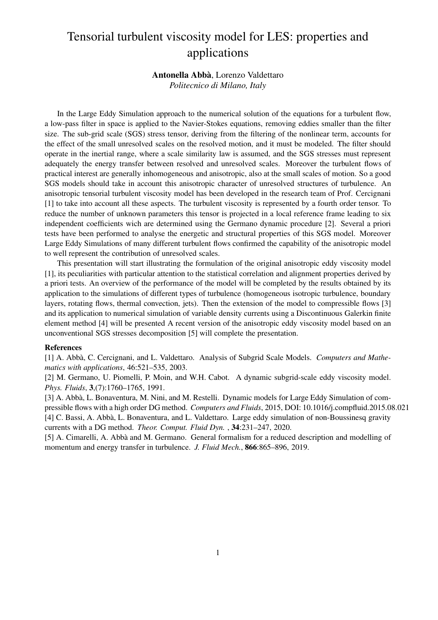# Tensorial turbulent viscosity model for LES: properties and applications

# Antonella Abba`, Lorenzo Valdettaro

*Politecnico di Milano, Italy*

In the Large Eddy Simulation approach to the numerical solution of the equations for a turbulent flow, a low-pass filter in space is applied to the Navier-Stokes equations, removing eddies smaller than the filter size. The sub-grid scale (SGS) stress tensor, deriving from the filtering of the nonlinear term, accounts for the effect of the small unresolved scales on the resolved motion, and it must be modeled. The filter should operate in the inertial range, where a scale similarity law is assumed, and the SGS stresses must represent adequately the energy transfer between resolved and unresolved scales. Moreover the turbulent flows of practical interest are generally inhomogeneous and anisotropic, also at the small scales of motion. So a good SGS models should take in account this anisotropic character of unresolved structures of turbulence. An anisotropic tensorial turbulent viscosity model has been developed in the research team of Prof. Cercignani [1] to take into account all these aspects. The turbulent viscosity is represented by a fourth order tensor. To reduce the number of unknown parameters this tensor is projected in a local reference frame leading to six independent coefficients wich are determined using the Germano dynamic procedure [2]. Several a priori tests have been performed to analyse the energetic and structural properties of this SGS model. Moreover Large Eddy Simulations of many different turbulent flows confirmed the capability of the anisotropic model to well represent the contribution of unresolved scales.

This presentation will start illustrating the formulation of the original anisotropic eddy viscosity model [1], its peculiarities with particular attention to the statistical correlation and alignment properties derived by a priori tests. An overview of the performance of the model will be completed by the results obtained by its application to the simulations of different types of turbulence (homogeneous isotropic turbulence, boundary layers, rotating flows, thermal convection, jets). Then the extension of the model to compressible flows [3] and its application to numerical simulation of variable density currents using a Discontinuous Galerkin finite element method [4] will be presented A recent version of the anisotropic eddy viscosity model based on an unconventional SGS stresses decomposition [5] will complete the presentation.

#### References

[1] A. Abb`a, C. Cercignani, and L. Valdettaro. Analysis of Subgrid Scale Models. *Computers and Mathematics with applications*, 46:521–535, 2003.

[2] M. Germano, U. Piomelli, P. Moin, and W.H. Cabot. A dynamic subgrid-scale eddy viscosity model. *Phys. Fluids*, 3,(7):1760–1765, 1991.

[3] A. Abbà, L. Bonaventura, M. Nini, and M. Restelli. Dynamic models for Large Eddy Simulation of compressible flows with a high order DG method. *Computers and Fluids*, 2015, DOI: 10.1016/j.compfluid.2015.08.021 [4] C. Bassi, A. Abbà, L. Bonaventura, and L. Valdettaro. Large eddy simulation of non-Boussinesq gravity currents with a DG method. *Theor. Comput. Fluid Dyn.* , 34:231–247, 2020.

[5] A. Cimarelli, A. Abbà and M. Germano. General formalism for a reduced description and modelling of momentum and energy transfer in turbulence. *J. Fluid Mech.*, 866:865–896, 2019.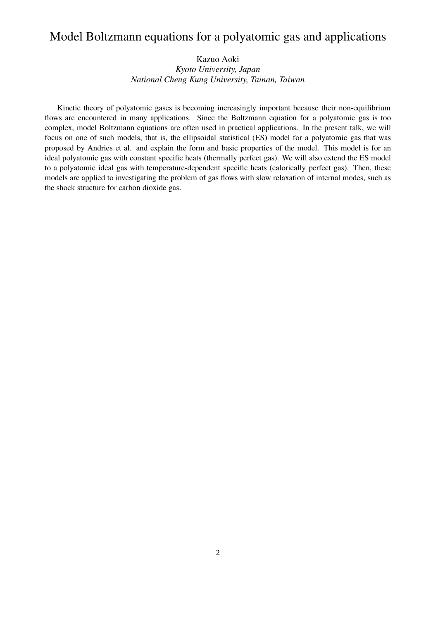## Model Boltzmann equations for a polyatomic gas and applications

Kazuo Aoki

*Kyoto University, Japan National Cheng Kung University, Tainan, Taiwan*

Kinetic theory of polyatomic gases is becoming increasingly important because their non-equilibrium flows are encountered in many applications. Since the Boltzmann equation for a polyatomic gas is too complex, model Boltzmann equations are often used in practical applications. In the present talk, we will focus on one of such models, that is, the ellipsoidal statistical (ES) model for a polyatomic gas that was proposed by Andries et al. and explain the form and basic properties of the model. This model is for an ideal polyatomic gas with constant specific heats (thermally perfect gas). We will also extend the ES model to a polyatomic ideal gas with temperature-dependent specific heats (calorically perfect gas). Then, these models are applied to investigating the problem of gas flows with slow relaxation of internal modes, such as the shock structure for carbon dioxide gas.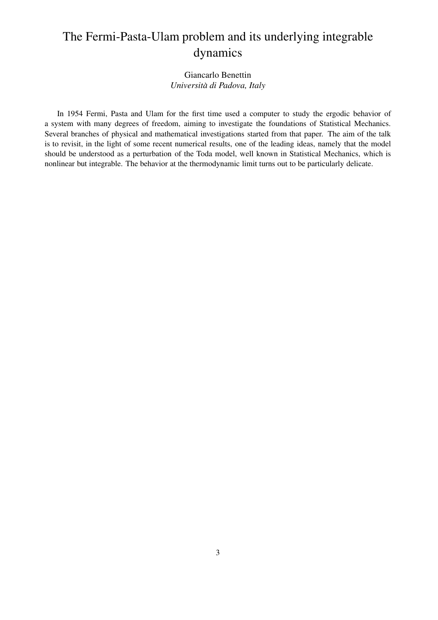# The Fermi-Pasta-Ulam problem and its underlying integrable dynamics

### Giancarlo Benettin *Universita di Padova, Italy `*

In 1954 Fermi, Pasta and Ulam for the first time used a computer to study the ergodic behavior of a system with many degrees of freedom, aiming to investigate the foundations of Statistical Mechanics. Several branches of physical and mathematical investigations started from that paper. The aim of the talk is to revisit, in the light of some recent numerical results, one of the leading ideas, namely that the model should be understood as a perturbation of the Toda model, well known in Statistical Mechanics, which is nonlinear but integrable. The behavior at the thermodynamic limit turns out to be particularly delicate.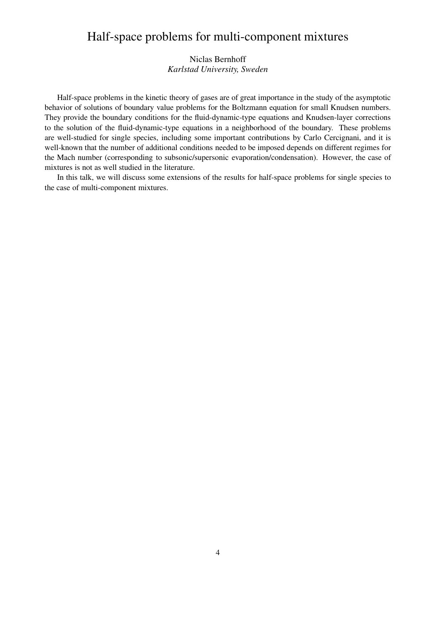## Half-space problems for multi-component mixtures

### Niclas Bernhoff *Karlstad University, Sweden*

Half-space problems in the kinetic theory of gases are of great importance in the study of the asymptotic behavior of solutions of boundary value problems for the Boltzmann equation for small Knudsen numbers. They provide the boundary conditions for the fluid-dynamic-type equations and Knudsen-layer corrections to the solution of the fluid-dynamic-type equations in a neighborhood of the boundary. These problems are well-studied for single species, including some important contributions by Carlo Cercignani, and it is well-known that the number of additional conditions needed to be imposed depends on different regimes for the Mach number (corresponding to subsonic/supersonic evaporation/condensation). However, the case of mixtures is not as well studied in the literature.

In this talk, we will discuss some extensions of the results for half-space problems for single species to the case of multi-component mixtures.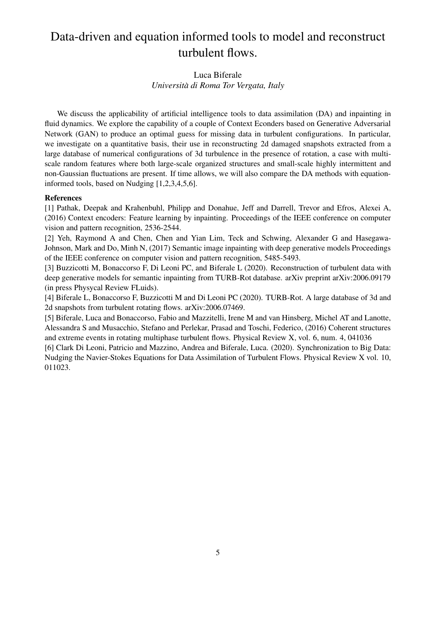# Data-driven and equation informed tools to model and reconstruct turbulent flows.

## Luca Biferale *Universita di Roma Tor Vergata, Italy `*

We discuss the applicability of artificial intelligence tools to data assimilation (DA) and inpainting in fluid dynamics. We explore the capability of a couple of Context Econders based on Generative Adversarial Network (GAN) to produce an optimal guess for missing data in turbulent configurations. In particular, we investigate on a quantitative basis, their use in reconstructing 2d damaged snapshots extracted from a large database of numerical configurations of 3d turbulence in the presence of rotation, a case with multiscale random features where both large-scale organized structures and small-scale highly intermittent and non-Gaussian fluctuations are present. If time allows, we will also compare the DA methods with equationinformed tools, based on Nudging [1,2,3,4,5,6].

#### References

[1] Pathak, Deepak and Krahenbuhl, Philipp and Donahue, Jeff and Darrell, Trevor and Efros, Alexei A, (2016) Context encoders: Feature learning by inpainting. Proceedings of the IEEE conference on computer vision and pattern recognition, 2536-2544.

[2] Yeh, Raymond A and Chen, Chen and Yian Lim, Teck and Schwing, Alexander G and Hasegawa-Johnson, Mark and Do, Minh N, (2017) Semantic image inpainting with deep generative models Proceedings of the IEEE conference on computer vision and pattern recognition, 5485-5493.

[3] Buzzicotti M, Bonaccorso F, Di Leoni PC, and Biferale L (2020). Reconstruction of turbulent data with deep generative models for semantic inpainting from TURB-Rot database. arXiv preprint arXiv:2006.09179 (in press Physycal Review FLuids).

[4] Biferale L, Bonaccorso F, Buzzicotti M and Di Leoni PC (2020). TURB-Rot. A large database of 3d and 2d snapshots from turbulent rotating flows. arXiv:2006.07469.

[5] Biferale, Luca and Bonaccorso, Fabio and Mazzitelli, Irene M and van Hinsberg, Michel AT and Lanotte, Alessandra S and Musacchio, Stefano and Perlekar, Prasad and Toschi, Federico, (2016) Coherent structures and extreme events in rotating multiphase turbulent flows. Physical Review X, vol. 6, num. 4, 041036

[6] Clark Di Leoni, Patricio and Mazzino, Andrea and Biferale, Luca. (2020). Synchronization to Big Data: Nudging the Navier-Stokes Equations for Data Assimilation of Turbulent Flows. Physical Review X vol. 10, 011023.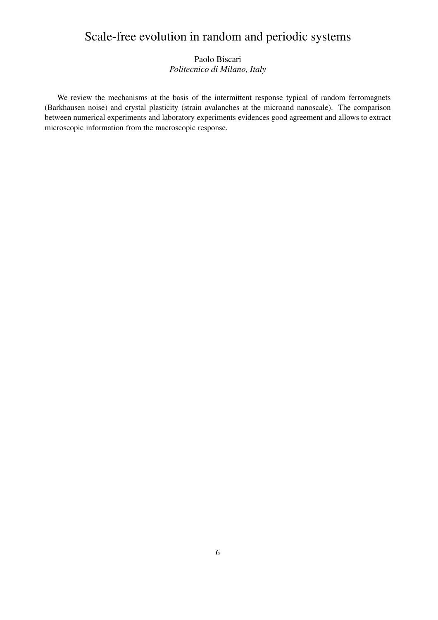# Scale-free evolution in random and periodic systems

## Paolo Biscari *Politecnico di Milano, Italy*

We review the mechanisms at the basis of the intermittent response typical of random ferromagnets (Barkhausen noise) and crystal plasticity (strain avalanches at the microand nanoscale). The comparison between numerical experiments and laboratory experiments evidences good agreement and allows to extract microscopic information from the macroscopic response.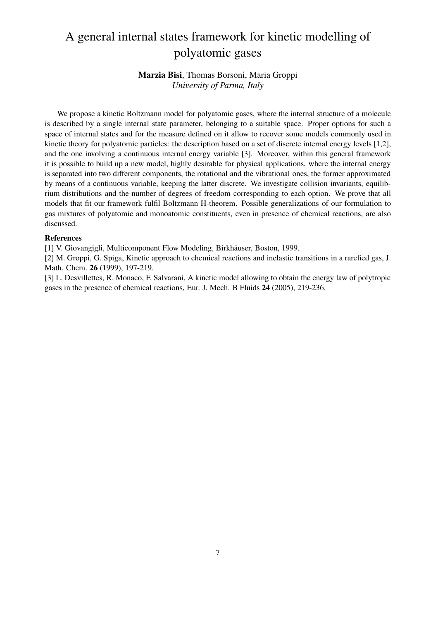# A general internal states framework for kinetic modelling of polyatomic gases

### Marzia Bisi, Thomas Borsoni, Maria Groppi *University of Parma, Italy*

We propose a kinetic Boltzmann model for polyatomic gases, where the internal structure of a molecule is described by a single internal state parameter, belonging to a suitable space. Proper options for such a space of internal states and for the measure defined on it allow to recover some models commonly used in kinetic theory for polyatomic particles: the description based on a set of discrete internal energy levels [1,2], and the one involving a continuous internal energy variable [3]. Moreover, within this general framework it is possible to build up a new model, highly desirable for physical applications, where the internal energy is separated into two different components, the rotational and the vibrational ones, the former approximated by means of a continuous variable, keeping the latter discrete. We investigate collision invariants, equilibrium distributions and the number of degrees of freedom corresponding to each option. We prove that all models that fit our framework fulfil Boltzmann H-theorem. Possible generalizations of our formulation to gas mixtures of polyatomic and monoatomic constituents, even in presence of chemical reactions, are also discussed.

#### References

[1] V. Giovangigli, Multicomponent Flow Modeling, Birkhäuser, Boston, 1999.

[2] M. Groppi, G. Spiga, Kinetic approach to chemical reactions and inelastic transitions in a rarefied gas, J. Math. Chem. 26 (1999), 197-219.

[3] L. Desvillettes, R. Monaco, F. Salvarani, A kinetic model allowing to obtain the energy law of polytropic gases in the presence of chemical reactions, Eur. J. Mech. B Fluids 24 (2005), 219-236.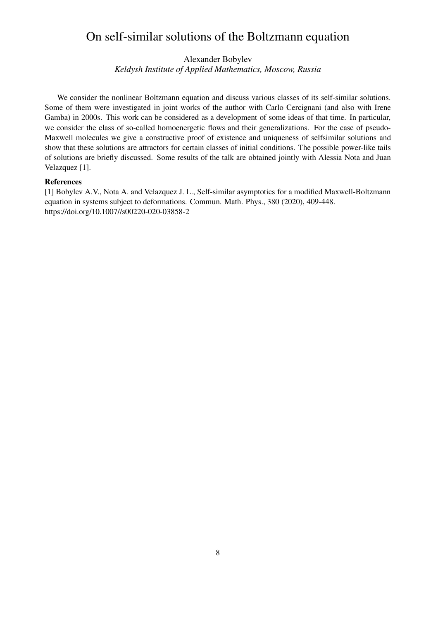## On self-similar solutions of the Boltzmann equation

Alexander Bobylev

*Keldysh Institute of Applied Mathematics, Moscow, Russia*

We consider the nonlinear Boltzmann equation and discuss various classes of its self-similar solutions. Some of them were investigated in joint works of the author with Carlo Cercignani (and also with Irene Gamba) in 2000s. This work can be considered as a development of some ideas of that time. In particular, we consider the class of so-called homoenergetic flows and their generalizations. For the case of pseudo-Maxwell molecules we give a constructive proof of existence and uniqueness of selfsimilar solutions and show that these solutions are attractors for certain classes of initial conditions. The possible power-like tails of solutions are briefly discussed. Some results of the talk are obtained jointly with Alessia Nota and Juan Velazquez [1].

#### References

[1] Bobylev A.V., Nota A. and Velazquez J. L., Self-similar asymptotics for a modified Maxwell-Boltzmann equation in systems subject to deformations. Commun. Math. Phys., 380 (2020), 409-448. https://doi.org/10.1007//s00220-020-03858-2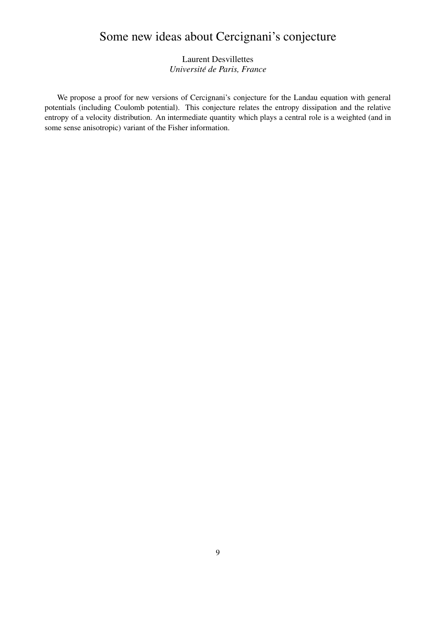# Some new ideas about Cercignani's conjecture

## Laurent Desvillettes *Universite de Paris, France ´*

We propose a proof for new versions of Cercignani's conjecture for the Landau equation with general potentials (including Coulomb potential). This conjecture relates the entropy dissipation and the relative entropy of a velocity distribution. An intermediate quantity which plays a central role is a weighted (and in some sense anisotropic) variant of the Fisher information.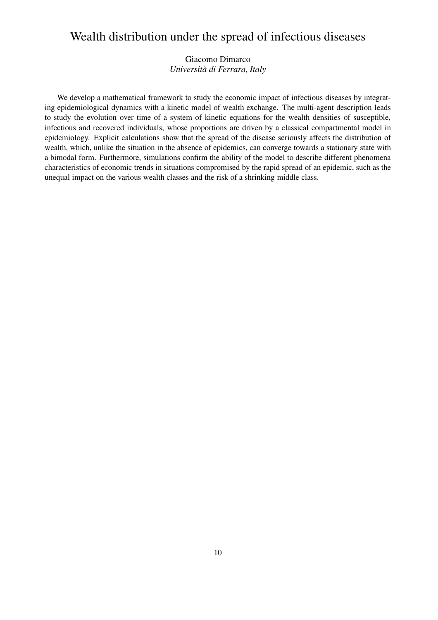## Wealth distribution under the spread of infectious diseases

## Giacomo Dimarco *Universita di Ferrara, Italy `*

We develop a mathematical framework to study the economic impact of infectious diseases by integrating epidemiological dynamics with a kinetic model of wealth exchange. The multi-agent description leads to study the evolution over time of a system of kinetic equations for the wealth densities of susceptible, infectious and recovered individuals, whose proportions are driven by a classical compartmental model in epidemiology. Explicit calculations show that the spread of the disease seriously affects the distribution of wealth, which, unlike the situation in the absence of epidemics, can converge towards a stationary state with a bimodal form. Furthermore, simulations confirm the ability of the model to describe different phenomena characteristics of economic trends in situations compromised by the rapid spread of an epidemic, such as the unequal impact on the various wealth classes and the risk of a shrinking middle class.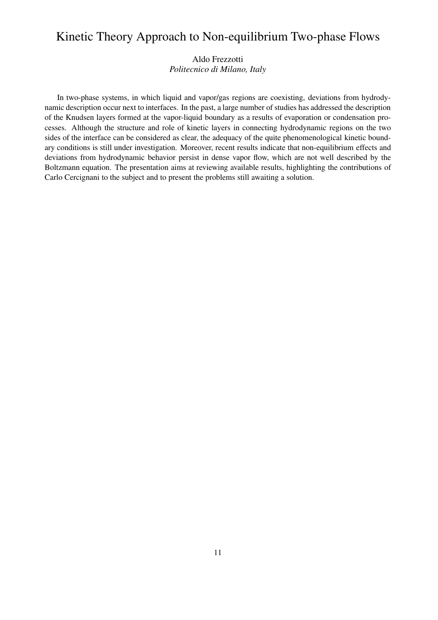## Kinetic Theory Approach to Non-equilibrium Two-phase Flows

Aldo Frezzotti *Politecnico di Milano, Italy*

In two-phase systems, in which liquid and vapor/gas regions are coexisting, deviations from hydrodynamic description occur next to interfaces. In the past, a large number of studies has addressed the description of the Knudsen layers formed at the vapor-liquid boundary as a results of evaporation or condensation processes. Although the structure and role of kinetic layers in connecting hydrodynamic regions on the two sides of the interface can be considered as clear, the adequacy of the quite phenomenological kinetic boundary conditions is still under investigation. Moreover, recent results indicate that non-equilibrium effects and deviations from hydrodynamic behavior persist in dense vapor flow, which are not well described by the Boltzmann equation. The presentation aims at reviewing available results, highlighting the contributions of Carlo Cercignani to the subject and to present the problems still awaiting a solution.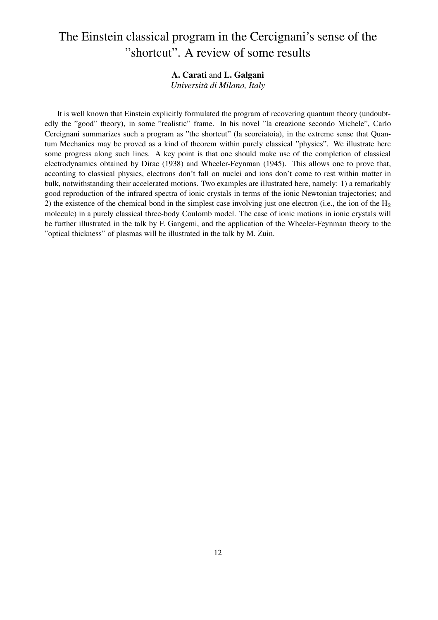# The Einstein classical program in the Cercignani's sense of the "shortcut". A review of some results

### A. Carati and L. Galgani

*Universita di Milano, Italy `*

It is well known that Einstein explicitly formulated the program of recovering quantum theory (undoubtedly the "good" theory), in some "realistic" frame. In his novel "la creazione secondo Michele", Carlo Cercignani summarizes such a program as "the shortcut" (la scorciatoia), in the extreme sense that Quantum Mechanics may be proved as a kind of theorem within purely classical "physics". We illustrate here some progress along such lines. A key point is that one should make use of the completion of classical electrodynamics obtained by Dirac (1938) and Wheeler-Feynman (1945). This allows one to prove that, according to classical physics, electrons don't fall on nuclei and ions don't come to rest within matter in bulk, notwithstanding their accelerated motions. Two examples are illustrated here, namely: 1) a remarkably good reproduction of the infrared spectra of ionic crystals in terms of the ionic Newtonian trajectories; and 2) the existence of the chemical bond in the simplest case involving just one electron (i.e., the ion of the  $H_2$ molecule) in a purely classical three-body Coulomb model. The case of ionic motions in ionic crystals will be further illustrated in the talk by F. Gangemi, and the application of the Wheeler-Feynman theory to the "optical thickness" of plasmas will be illustrated in the talk by M. Zuin.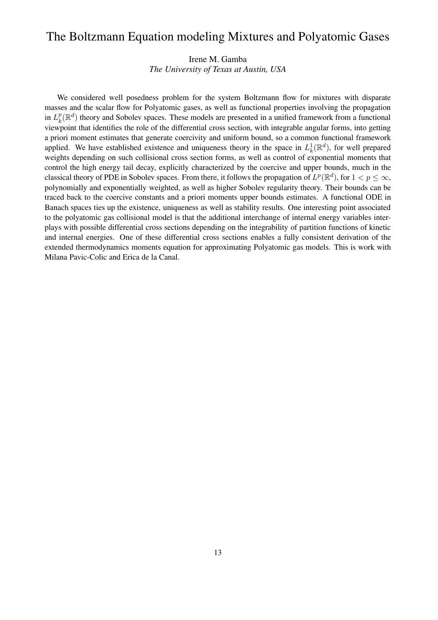## The Boltzmann Equation modeling Mixtures and Polyatomic Gases

Irene M. Gamba *The University of Texas at Austin, USA*

We considered well posedness problem for the system Boltzmann flow for mixtures with disparate masses and the scalar flow for Polyatomic gases, as well as functional properties involving the propagation in  $L_k^p$  $_{k}^{p}(\mathbb{R}^{d})$  theory and Sobolev spaces. These models are presented in a unified framework from a functional viewpoint that identifies the role of the differential cross section, with integrable angular forms, into getting a priori moment estimates that generate coercivity and uniform bound, so a common functional framework applied. We have established existence and uniqueness theory in the space in  $L_k^1$  $_{k}^{1}(\mathbb{R}^{d})$ , for well prepared weights depending on such collisional cross section forms, as well as control of exponential moments that control the high energy tail decay, explicitly characterized by the coercive and upper bounds, much in the classical theory of PDE in Sobolev spaces. From there, it follows the propagation of  $L^p(\mathbb{R}^d)$ , for  $1 < p \leq \infty$ , polynomially and exponentially weighted, as well as higher Sobolev regularity theory. Their bounds can be traced back to the coercive constants and a priori moments upper bounds estimates. A functional ODE in Banach spaces ties up the existence, uniqueness as well as stability results. One interesting point associated to the polyatomic gas collisional model is that the additional interchange of internal energy variables interplays with possible differential cross sections depending on the integrability of partition functions of kinetic and internal energies. One of these differential cross sections enables a fully consistent derivation of the extended thermodynamics moments equation for approximating Polyatomic gas models. This is work with Milana Pavic-Colic and Erica de la Canal.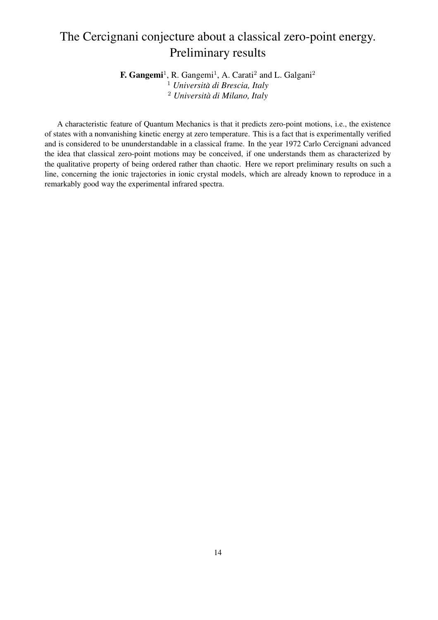# The Cercignani conjecture about a classical zero-point energy. Preliminary results

F. Gangemi<sup>1</sup>, R. Gangemi<sup>1</sup>, A. Carati<sup>2</sup> and L. Galgani<sup>2</sup> <sup>1</sup> *Universita di Brescia, Italy `* <sup>2</sup> *Universita di Milano, Italy `*

A characteristic feature of Quantum Mechanics is that it predicts zero-point motions, i.e., the existence of states with a nonvanishing kinetic energy at zero temperature. This is a fact that is experimentally verified and is considered to be ununderstandable in a classical frame. In the year 1972 Carlo Cercignani advanced the idea that classical zero-point motions may be conceived, if one understands them as characterized by the qualitative property of being ordered rather than chaotic. Here we report preliminary results on such a line, concerning the ionic trajectories in ionic crystal models, which are already known to reproduce in a remarkably good way the experimental infrared spectra.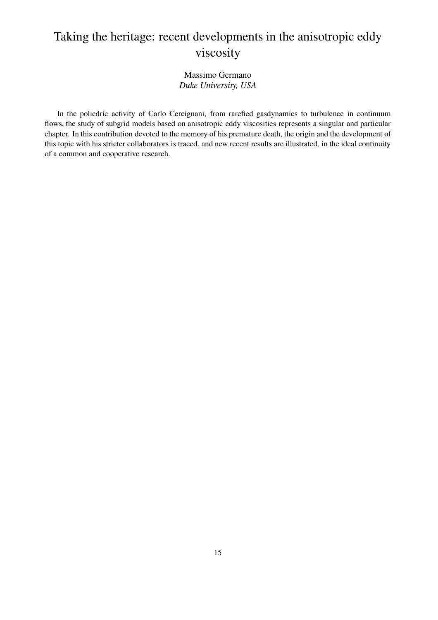# Taking the heritage: recent developments in the anisotropic eddy viscosity

### Massimo Germano *Duke University, USA*

In the poliedric activity of Carlo Cercignani, from rarefied gasdynamics to turbulence in continuum flows, the study of subgrid models based on anisotropic eddy viscosities represents a singular and particular chapter. In this contribution devoted to the memory of his premature death, the origin and the development of this topic with his stricter collaborators is traced, and new recent results are illustrated, in the ideal continuity of a common and cooperative research.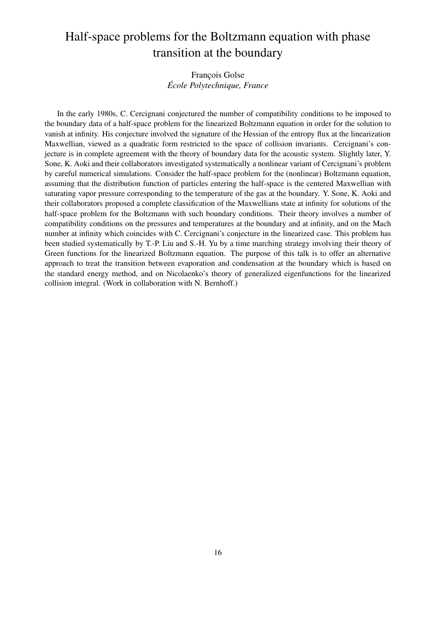# Half-space problems for the Boltzmann equation with phase transition at the boundary

## François Golse *Ecole Polytechnique, France ´*

In the early 1980s, C. Cercignani conjectured the number of compatibility conditions to be imposed to the boundary data of a half-space problem for the linearized Boltzmann equation in order for the solution to vanish at infinity. His conjecture involved the signature of the Hessian of the entropy flux at the linearization Maxwellian, viewed as a quadratic form restricted to the space of collision invariants. Cercignani's conjecture is in complete agreement with the theory of boundary data for the acoustic system. Slightly later, Y. Sone, K. Aoki and their collaborators investigated systematically a nonlinear variant of Cercignani's problem by careful numerical simulations. Consider the half-space problem for the (nonlinear) Boltzmann equation, assuming that the distribution function of particles entering the half-space is the centered Maxwellian with saturating vapor pressure corresponding to the temperature of the gas at the boundary. Y. Sone, K. Aoki and their collaborators proposed a complete classification of the Maxwellians state at infinity for solutions of the half-space problem for the Boltzmann with such boundary conditions. Their theory involves a number of compatibility conditions on the pressures and temperatures at the boundary and at infinity, and on the Mach number at infinity which coincides with C. Cercignani's conjecture in the linearized case. This problem has been studied systematically by T.-P. Liu and S.-H. Yu by a time marching strategy involving their theory of Green functions for the linearized Boltzmann equation. The purpose of this talk is to offer an alternative approach to treat the transition between evaporation and condensation at the boundary which is based on the standard energy method, and on Nicolaenko's theory of generalized eigenfunctions for the linearized collision integral. (Work in collaboration with N. Bernhoff.)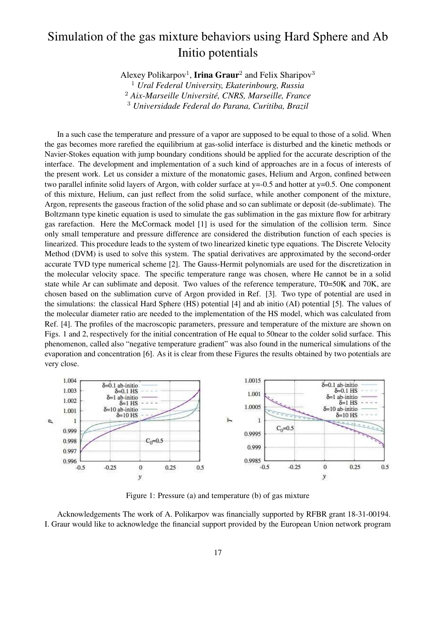# Simulation of the gas mixture behaviors using Hard Sphere and Ab Initio potentials

Alexey Polikarpov<sup>1</sup>, Irina Graur<sup>2</sup> and Felix Sharipov<sup>3</sup>

<sup>1</sup> *Ural Federal University, Ekaterinbourg, Russia*

<sup>2</sup> *Aix-Marseille Universite, CNRS, Marseille, France ´*

<sup>3</sup> *Universidade Federal do Parana, Curitiba, Brazil*

In a such case the temperature and pressure of a vapor are supposed to be equal to those of a solid. When the gas becomes more rarefied the equilibrium at gas-solid interface is disturbed and the kinetic methods or Navier-Stokes equation with jump boundary conditions should be applied for the accurate description of the interface. The development and implementation of a such kind of approaches are in a focus of interests of the present work. Let us consider a mixture of the monatomic gases, Helium and Argon, confined between two parallel infinite solid layers of Argon, with colder surface at  $y=0.5$  and hotter at  $y=0.5$ . One component of this mixture, Helium, can just reflect from the solid surface, while another component of the mixture, Argon, represents the gaseous fraction of the solid phase and so can sublimate or deposit (de-sublimate). The Boltzmann type kinetic equation is used to simulate the gas sublimation in the gas mixture flow for arbitrary gas rarefaction. Here the McCormack model [1] is used for the simulation of the collision term. Since only small temperature and pressure difference are considered the distribution function of each species is linearized. This procedure leads to the system of two linearized kinetic type equations. The Discrete Velocity Method (DVM) is used to solve this system. The spatial derivatives are approximated by the second-order accurate TVD type numerical scheme [2]. The Gauss-Hermit polynomials are used for the discretization in the molecular velocity space. The specific temperature range was chosen, where He cannot be in a solid state while Ar can sublimate and deposit. Two values of the reference temperature, T0=50K and 70K, are chosen based on the sublimation curve of Argon provided in Ref. [3]. Two type of potential are used in the simulations: the classical Hard Sphere (HS) potential [4] and ab initio (AI) potential [5]. The values of the molecular diameter ratio are needed to the implementation of the HS model, which was calculated from Ref. [4]. The profiles of the macroscopic parameters, pressure and temperature of the mixture are shown on Figs. 1 and 2, respectively for the initial concentration of He equal to 50near to the colder solid surface. This phenomenon, called also "negative temperature gradient" was also found in the numerical simulations of the evaporation and concentration [6]. As it is clear from these Figures the results obtained by two potentials are very close.



Figure 1: Pressure (a) and temperature (b) of gas mixture

Acknowledgements The work of A. Polikarpov was financially supported by RFBR grant 18-31-00194. I. Graur would like to acknowledge the financial support provided by the European Union network program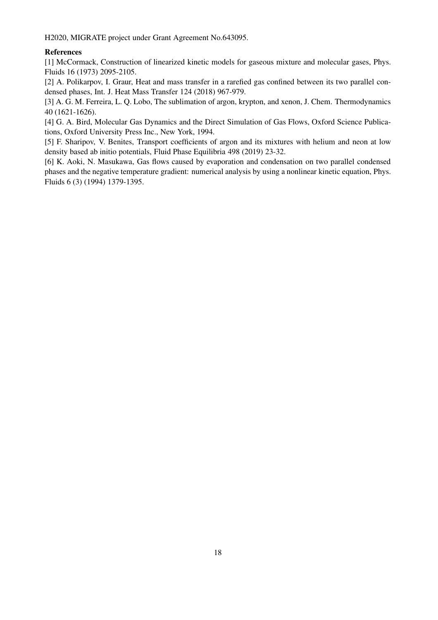H2020, MIGRATE project under Grant Agreement No.643095.

#### References

[1] McCormack, Construction of linearized kinetic models for gaseous mixture and molecular gases, Phys. Fluids 16 (1973) 2095-2105.

[2] A. Polikarpov, I. Graur, Heat and mass transfer in a rarefied gas confined between its two parallel condensed phases, Int. J. Heat Mass Transfer 124 (2018) 967-979.

[3] A. G. M. Ferreira, L. Q. Lobo, The sublimation of argon, krypton, and xenon, J. Chem. Thermodynamics 40 (1621-1626).

[4] G. A. Bird, Molecular Gas Dynamics and the Direct Simulation of Gas Flows, Oxford Science Publications, Oxford University Press Inc., New York, 1994.

[5] F. Sharipov, V. Benites, Transport coefficients of argon and its mixtures with helium and neon at low density based ab initio potentials, Fluid Phase Equilibria 498 (2019) 23-32.

[6] K. Aoki, N. Masukawa, Gas flows caused by evaporation and condensation on two parallel condensed phases and the negative temperature gradient: numerical analysis by using a nonlinear kinetic equation, Phys. Fluids 6 (3) (1994) 1379-1395.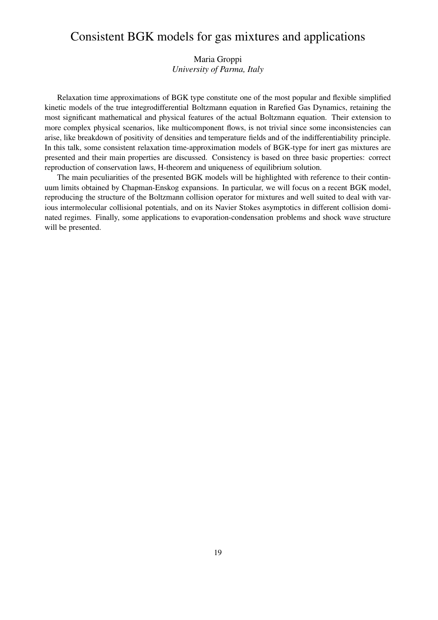## Consistent BGK models for gas mixtures and applications

## Maria Groppi *University of Parma, Italy*

Relaxation time approximations of BGK type constitute one of the most popular and flexible simplified kinetic models of the true integrodifferential Boltzmann equation in Rarefied Gas Dynamics, retaining the most significant mathematical and physical features of the actual Boltzmann equation. Their extension to more complex physical scenarios, like multicomponent flows, is not trivial since some inconsistencies can arise, like breakdown of positivity of densities and temperature fields and of the indifferentiability principle. In this talk, some consistent relaxation time-approximation models of BGK-type for inert gas mixtures are presented and their main properties are discussed. Consistency is based on three basic properties: correct reproduction of conservation laws, H-theorem and uniqueness of equilibrium solution.

The main peculiarities of the presented BGK models will be highlighted with reference to their continuum limits obtained by Chapman-Enskog expansions. In particular, we will focus on a recent BGK model, reproducing the structure of the Boltzmann collision operator for mixtures and well suited to deal with various intermolecular collisional potentials, and on its Navier Stokes asymptotics in different collision dominated regimes. Finally, some applications to evaporation-condensation problems and shock wave structure will be presented.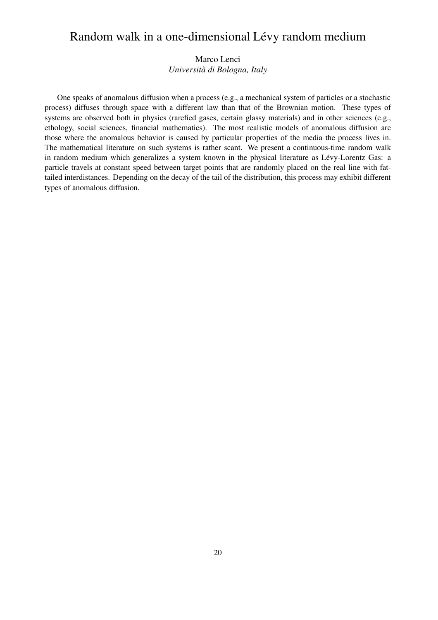## Random walk in a one-dimensional Lévy random medium

## Marco Lenci *Universita di Bologna, Italy `*

One speaks of anomalous diffusion when a process (e.g., a mechanical system of particles or a stochastic process) diffuses through space with a different law than that of the Brownian motion. These types of systems are observed both in physics (rarefied gases, certain glassy materials) and in other sciences (e.g., ethology, social sciences, financial mathematics). The most realistic models of anomalous diffusion are those where the anomalous behavior is caused by particular properties of the media the process lives in. The mathematical literature on such systems is rather scant. We present a continuous-time random walk in random medium which generalizes a system known in the physical literature as Lévy-Lorentz Gas: a particle travels at constant speed between target points that are randomly placed on the real line with fattailed interdistances. Depending on the decay of the tail of the distribution, this process may exhibit different types of anomalous diffusion.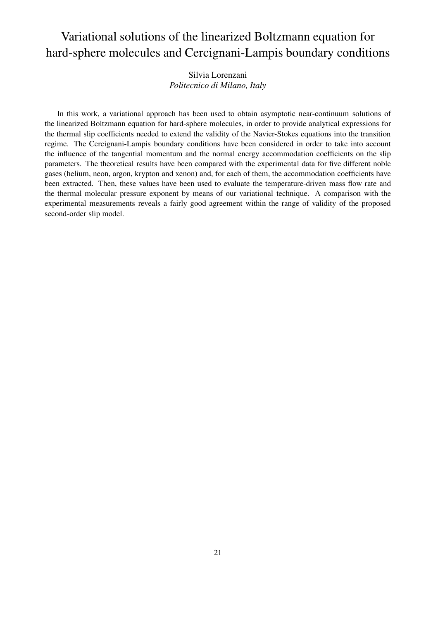# Variational solutions of the linearized Boltzmann equation for hard-sphere molecules and Cercignani-Lampis boundary conditions

Silvia Lorenzani *Politecnico di Milano, Italy*

In this work, a variational approach has been used to obtain asymptotic near-continuum solutions of the linearized Boltzmann equation for hard-sphere molecules, in order to provide analytical expressions for the thermal slip coefficients needed to extend the validity of the Navier-Stokes equations into the transition regime. The Cercignani-Lampis boundary conditions have been considered in order to take into account the influence of the tangential momentum and the normal energy accommodation coefficients on the slip parameters. The theoretical results have been compared with the experimental data for five different noble gases (helium, neon, argon, krypton and xenon) and, for each of them, the accommodation coefficients have been extracted. Then, these values have been used to evaluate the temperature-driven mass flow rate and the thermal molecular pressure exponent by means of our variational technique. A comparison with the experimental measurements reveals a fairly good agreement within the range of validity of the proposed second-order slip model.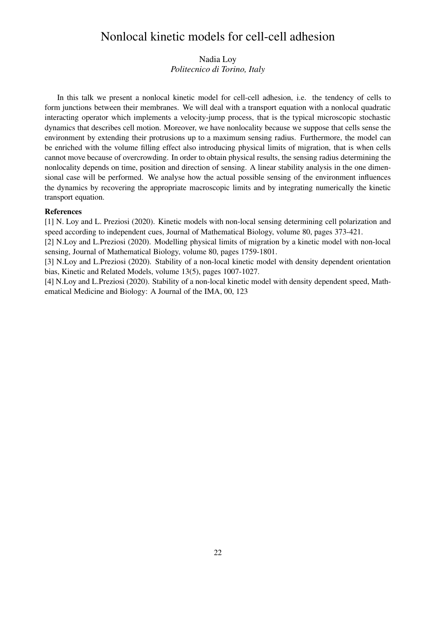## Nonlocal kinetic models for cell-cell adhesion

### Nadia Loy *Politecnico di Torino, Italy*

In this talk we present a nonlocal kinetic model for cell-cell adhesion, i.e. the tendency of cells to form junctions between their membranes. We will deal with a transport equation with a nonlocal quadratic interacting operator which implements a velocity-jump process, that is the typical microscopic stochastic dynamics that describes cell motion. Moreover, we have nonlocality because we suppose that cells sense the environment by extending their protrusions up to a maximum sensing radius. Furthermore, the model can be enriched with the volume filling effect also introducing physical limits of migration, that is when cells cannot move because of overcrowding. In order to obtain physical results, the sensing radius determining the nonlocality depends on time, position and direction of sensing. A linear stability analysis in the one dimensional case will be performed. We analyse how the actual possible sensing of the environment influences the dynamics by recovering the appropriate macroscopic limits and by integrating numerically the kinetic transport equation.

#### References

[1] N. Loy and L. Preziosi (2020). Kinetic models with non-local sensing determining cell polarization and speed according to independent cues, Journal of Mathematical Biology, volume 80, pages 373-421.

[2] N.Loy and L.Preziosi (2020). Modelling physical limits of migration by a kinetic model with non-local sensing, Journal of Mathematical Biology, volume 80, pages 1759-1801.

[3] N.Loy and L.Preziosi (2020). Stability of a non-local kinetic model with density dependent orientation bias, Kinetic and Related Models, volume 13(5), pages 1007-1027.

[4] N.Loy and L.Preziosi (2020). Stability of a non-local kinetic model with density dependent speed, Mathematical Medicine and Biology: A Journal of the IMA, 00, 123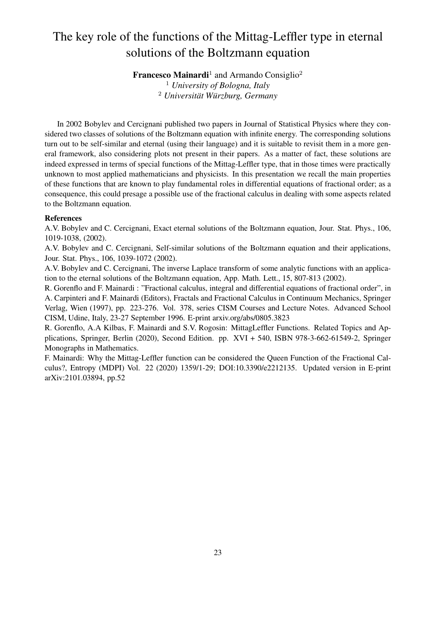# The key role of the functions of the Mittag-Leffler type in eternal solutions of the Boltzmann equation

**Francesco Mainardi**<sup>1</sup> and Armando Consiglio<sup>2</sup>

<sup>1</sup> *University of Bologna, Italy* <sup>2</sup> Universität Würzburg, Germany

In 2002 Bobylev and Cercignani published two papers in Journal of Statistical Physics where they considered two classes of solutions of the Boltzmann equation with infinite energy. The corresponding solutions turn out to be self-similar and eternal (using their language) and it is suitable to revisit them in a more general framework, also considering plots not present in their papers. As a matter of fact, these solutions are indeed expressed in terms of special functions of the Mittag-Leffler type, that in those times were practically unknown to most applied mathematicians and physicists. In this presentation we recall the main properties of these functions that are known to play fundamental roles in differential equations of fractional order; as a consequence, this could presage a possible use of the fractional calculus in dealing with some aspects related to the Boltzmann equation.

#### References

A.V. Bobylev and C. Cercignani, Exact eternal solutions of the Boltzmann equation, Jour. Stat. Phys., 106, 1019-1038, (2002).

A.V. Bobylev and C. Cercignani, Self-similar solutions of the Boltzmann equation and their applications, Jour. Stat. Phys., 106, 1039-1072 (2002).

A.V. Bobylev and C. Cercignani, The inverse Laplace transform of some analytic functions with an application to the eternal solutions of the Boltzmann equation, App. Math. Lett., 15, 807-813 (2002).

R. Gorenflo and F. Mainardi : "Fractional calculus, integral and differential equations of fractional order", in A. Carpinteri and F. Mainardi (Editors), Fractals and Fractional Calculus in Continuum Mechanics, Springer Verlag, Wien (1997), pp. 223-276. Vol. 378, series CISM Courses and Lecture Notes. Advanced School CISM, Udine, Italy, 23-27 September 1996. E-print arxiv.org/abs/0805.3823

R. Gorenflo, A.A Kilbas, F. Mainardi and S.V. Rogosin: MittagLeffler Functions. Related Topics and Applications, Springer, Berlin (2020), Second Edition. pp. XVI + 540, ISBN 978-3-662-61549-2, Springer Monographs in Mathematics.

F. Mainardi: Why the Mittag-Leffler function can be considered the Queen Function of the Fractional Calculus?, Entropy (MDPI) Vol. 22 (2020) 1359/1-29; DOI:10.3390/e2212135. Updated version in E-print arXiv:2101.03894, pp.52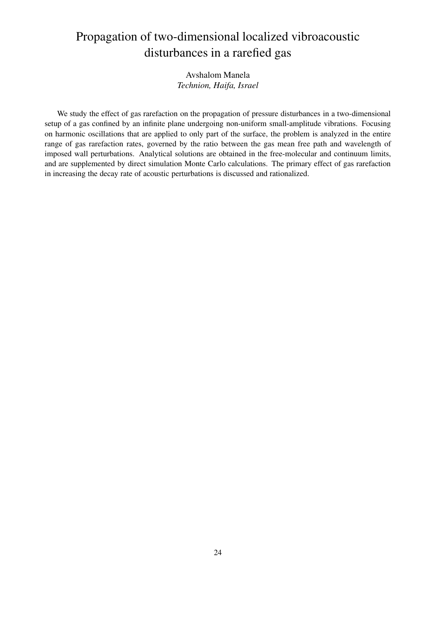# Propagation of two-dimensional localized vibroacoustic disturbances in a rarefied gas

### Avshalom Manela *Technion, Haifa, Israel*

We study the effect of gas rarefaction on the propagation of pressure disturbances in a two-dimensional setup of a gas confined by an infinite plane undergoing non-uniform small-amplitude vibrations. Focusing on harmonic oscillations that are applied to only part of the surface, the problem is analyzed in the entire range of gas rarefaction rates, governed by the ratio between the gas mean free path and wavelength of imposed wall perturbations. Analytical solutions are obtained in the free-molecular and continuum limits, and are supplemented by direct simulation Monte Carlo calculations. The primary effect of gas rarefaction in increasing the decay rate of acoustic perturbations is discussed and rationalized.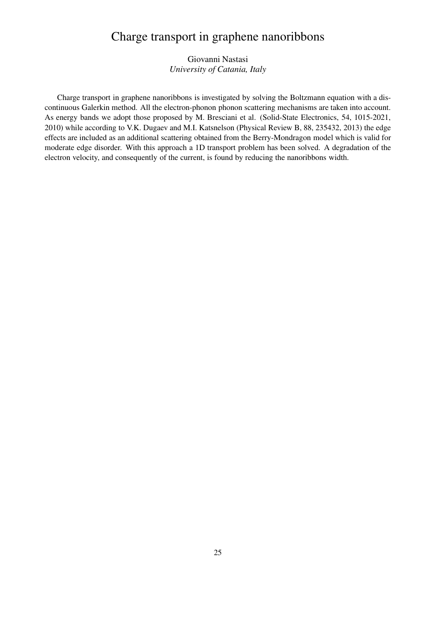## Charge transport in graphene nanoribbons

## Giovanni Nastasi *University of Catania, Italy*

Charge transport in graphene nanoribbons is investigated by solving the Boltzmann equation with a discontinuous Galerkin method. All the electron-phonon phonon scattering mechanisms are taken into account. As energy bands we adopt those proposed by M. Bresciani et al. (Solid-State Electronics, 54, 1015-2021, 2010) while according to V.K. Dugaev and M.I. Katsnelson (Physical Review B, 88, 235432, 2013) the edge effects are included as an additional scattering obtained from the Berry-Mondragon model which is valid for moderate edge disorder. With this approach a 1D transport problem has been solved. A degradation of the electron velocity, and consequently of the current, is found by reducing the nanoribbons width.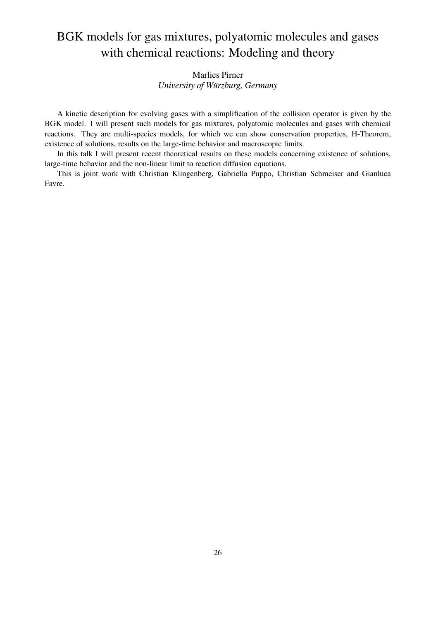# BGK models for gas mixtures, polyatomic molecules and gases with chemical reactions: Modeling and theory

## Marlies Pirner *University of Würzburg, Germany*

A kinetic description for evolving gases with a simplification of the collision operator is given by the BGK model. I will present such models for gas mixtures, polyatomic molecules and gases with chemical reactions. They are multi-species models, for which we can show conservation properties, H-Theorem, existence of solutions, results on the large-time behavior and macroscopic limits.

In this talk I will present recent theoretical results on these models concerning existence of solutions, large-time behavior and the non-linear limit to reaction diffusion equations.

This is joint work with Christian Klingenberg, Gabriella Puppo, Christian Schmeiser and Gianluca Favre.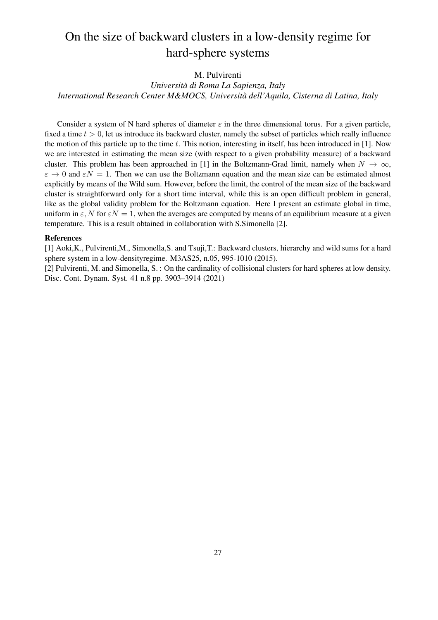# On the size of backward clusters in a low-density regime for hard-sphere systems

#### M. Pulvirenti

### *Universita di Roma La Sapienza, Italy ` International Research Center M&MOCS, Universita dell'Aquila, Cisterna di Latina, Italy `*

Consider a system of N hard spheres of diameter  $\varepsilon$  in the three dimensional torus. For a given particle, fixed a time  $t > 0$ , let us introduce its backward cluster, namely the subset of particles which really influence the motion of this particle up to the time  $t$ . This notion, interesting in itself, has been introduced in [1]. Now we are interested in estimating the mean size (with respect to a given probability measure) of a backward cluster. This problem has been approached in [1] in the Boltzmann-Grad limit, namely when  $N \to \infty$ ,  $\varepsilon \to 0$  and  $\varepsilon N = 1$ . Then we can use the Boltzmann equation and the mean size can be estimated almost explicitly by means of the Wild sum. However, before the limit, the control of the mean size of the backward cluster is straightforward only for a short time interval, while this is an open difficult problem in general, like as the global validity problem for the Boltzmann equation. Here I present an estimate global in time, uniform in  $\varepsilon$ , N for  $\varepsilon N = 1$ , when the averages are computed by means of an equilibrium measure at a given temperature. This is a result obtained in collaboration with S.Simonella [2].

#### References

[1] Aoki,K., Pulvirenti,M., Simonella,S. and Tsuji,T.: Backward clusters, hierarchy and wild sums for a hard sphere system in a low-densityregime. M3AS25, n.05, 995-1010 (2015).

[2] Pulvirenti, M. and Simonella, S. : On the cardinality of collisional clusters for hard spheres at low density. Disc. Cont. Dynam. Syst. 41 n.8 pp. 3903–3914 (2021)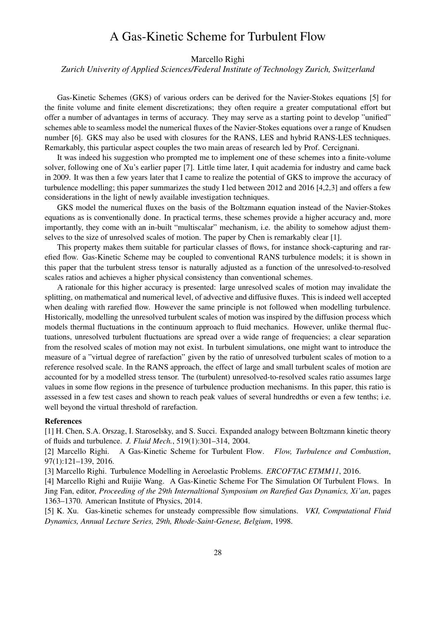## A Gas-Kinetic Scheme for Turbulent Flow

Marcello Righi

*Zurich Univerity of Applied Sciences/Federal Institute of Technology Zurich, Switzerland*

Gas-Kinetic Schemes (GKS) of various orders can be derived for the Navier-Stokes equations [5] for the finite volume and finite element discretizations; they often require a greater computational effort but offer a number of advantages in terms of accuracy. They may serve as a starting point to develop "unified" schemes able to seamless model the numerical fluxes of the Navier-Stokes equations over a range of Knudsen number [6]. GKS may also be used with closures for the RANS, LES and hybrid RANS-LES techniques. Remarkably, this particular aspect couples the two main areas of research led by Prof. Cercignani.

It was indeed his suggestion who prompted me to implement one of these schemes into a finite-volume solver, following one of Xu's earlier paper [7]. Little time later, I quit academia for industry and came back in 2009. It was then a few years later that I came to realize the potential of GKS to improve the accuracy of turbulence modelling; this paper summarizes the study I led between 2012 and 2016 [4,2,3] and offers a few considerations in the light of newly available investigation techniques.

GKS model the numerical fluxes on the basis of the Boltzmann equation instead of the Navier-Stokes equations as is conventionally done. In practical terms, these schemes provide a higher accuracy and, more importantly, they come with an in-built "multiscalar" mechanism, i.e. the ability to somehow adjust themselves to the size of unresolved scales of motion. The paper by Chen is remarkably clear [1].

This property makes them suitable for particular classes of flows, for instance shock-capturing and rarefied flow. Gas-Kinetic Scheme may be coupled to conventional RANS turbulence models; it is shown in this paper that the turbulent stress tensor is naturally adjusted as a function of the unresolved-to-resolved scales ratios and achieves a higher physical consistency than conventional schemes.

A rationale for this higher accuracy is presented: large unresolved scales of motion may invalidate the splitting, on mathematical and numerical level, of advective and diffusive fluxes. This is indeed well accepted when dealing with rarefied flow. However the same principle is not followed when modelling turbulence. Historically, modelling the unresolved turbulent scales of motion was inspired by the diffusion process which models thermal fluctuations in the continuum approach to fluid mechanics. However, unlike thermal fluctuations, unresolved turbulent fluctuations are spread over a wide range of frequencies; a clear separation from the resolved scales of motion may not exist. In turbulent simulations, one might want to introduce the measure of a "virtual degree of rarefaction" given by the ratio of unresolved turbulent scales of motion to a reference resolved scale. In the RANS approach, the effect of large and small turbulent scales of motion are accounted for by a modelled stress tensor. The (turbulent) unresolved-to-resolved scales ratio assumes large values in some flow regions in the presence of turbulence production mechanisms. In this paper, this ratio is assessed in a few test cases and shown to reach peak values of several hundredths or even a few tenths; i.e. well beyond the virtual threshold of rarefaction.

#### References

[1] H. Chen, S.A. Orszag, I. Staroselsky, and S. Succi. Expanded analogy between Boltzmann kinetic theory of fluids and turbulence. *J. Fluid Mech.*, 519(1):301–314, 2004.

[2] Marcello Righi. A Gas-Kinetic Scheme for Turbulent Flow. *Flow, Turbulence and Combustion*, 97(1):121–139, 2016.

[3] Marcello Righi. Turbulence Modelling in Aeroelastic Problems. *ERCOFTAC ETMM11*, 2016.

[4] Marcello Righi and Ruijie Wang. A Gas-Kinetic Scheme For The Simulation Of Turbulent Flows. In Jing Fan, editor, *Proceeding of the 29th Internaltional Symposium on Rarefied Gas Dynamics, Xi'an*, pages 1363–1370. American Institute of Physics, 2014.

[5] K. Xu. Gas-kinetic schemes for unsteady compressible flow simulations. *VKI, Computational Fluid Dynamics, Annual Lecture Series, 29th, Rhode-Saint-Genese, Belgium*, 1998.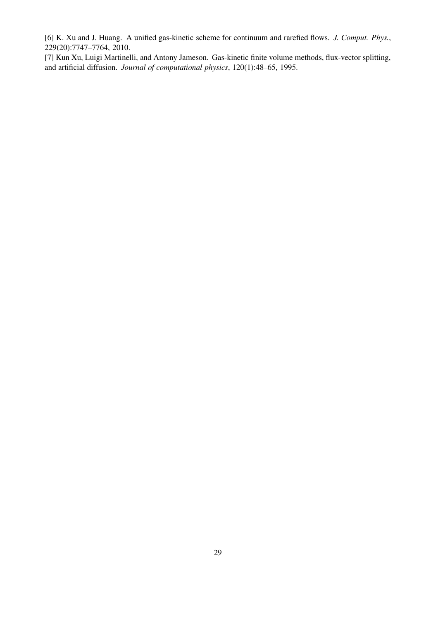[6] K. Xu and J. Huang. A unified gas-kinetic scheme for continuum and rarefied flows. *J. Comput. Phys.*, 229(20):7747–7764, 2010.

[7] Kun Xu, Luigi Martinelli, and Antony Jameson. Gas-kinetic finite volume methods, flux-vector splitting, and artificial diffusion. *Journal of computational physics*, 120(1):48–65, 1995.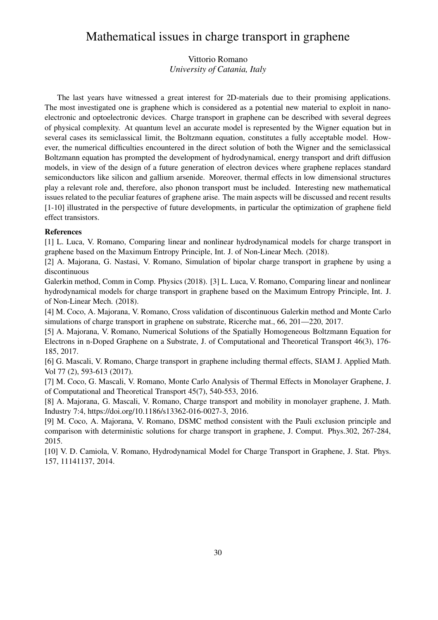## Mathematical issues in charge transport in graphene

Vittorio Romano *University of Catania, Italy*

The last years have witnessed a great interest for 2D-materials due to their promising applications. The most investigated one is graphene which is considered as a potential new material to exploit in nanoelectronic and optoelectronic devices. Charge transport in graphene can be described with several degrees of physical complexity. At quantum level an accurate model is represented by the Wigner equation but in several cases its semiclassical limit, the Boltzmann equation, constitutes a fully acceptable model. However, the numerical difficulties encountered in the direct solution of both the Wigner and the semiclassical Boltzmann equation has prompted the development of hydrodynamical, energy transport and drift diffusion models, in view of the design of a future generation of electron devices where graphene replaces standard semiconductors like silicon and gallium arsenide. Moreover, thermal effects in low dimensional structures play a relevant role and, therefore, also phonon transport must be included. Interesting new mathematical issues related to the peculiar features of graphene arise. The main aspects will be discussed and recent results [1-10] illustrated in the perspective of future developments, in particular the optimization of graphene field effect transistors.

#### References

[1] L. Luca, V. Romano, Comparing linear and nonlinear hydrodynamical models for charge transport in graphene based on the Maximum Entropy Principle, Int. J. of Non-Linear Mech. (2018).

[2] A. Majorana, G. Nastasi, V. Romano, Simulation of bipolar charge transport in graphene by using a discontinuous

Galerkin method, Comm in Comp. Physics (2018). [3] L. Luca, V. Romano, Comparing linear and nonlinear hydrodynamical models for charge transport in graphene based on the Maximum Entropy Principle, Int. J. of Non-Linear Mech. (2018).

[4] M. Coco, A. Majorana, V. Romano, Cross validation of discontinuous Galerkin method and Monte Carlo simulations of charge transport in graphene on substrate, Ricerche mat., 66, 201—220, 2017.

[5] A. Majorana, V. Romano, Numerical Solutions of the Spatially Homogeneous Boltzmann Equation for Electrons in n-Doped Graphene on a Substrate, J. of Computational and Theoretical Transport 46(3), 176- 185, 2017.

[6] G. Mascali, V. Romano, Charge transport in graphene including thermal effects, SIAM J. Applied Math. Vol 77 (2), 593-613 (2017).

[7] M. Coco, G. Mascali, V. Romano, Monte Carlo Analysis of Thermal Effects in Monolayer Graphene, J. of Computational and Theoretical Transport 45(7), 540-553, 2016.

[8] A. Majorana, G. Mascali, V. Romano, Charge transport and mobility in monolayer graphene, J. Math. Industry 7:4, https://doi.org/10.1186/s13362-016-0027-3, 2016.

[9] M. Coco, A. Majorana, V. Romano, DSMC method consistent with the Pauli exclusion principle and comparison with deterministic solutions for charge transport in graphene, J. Comput. Phys.302, 267-284, 2015.

[10] V. D. Camiola, V. Romano, Hydrodynamical Model for Charge Transport in Graphene, J. Stat. Phys. 157, 11141137, 2014.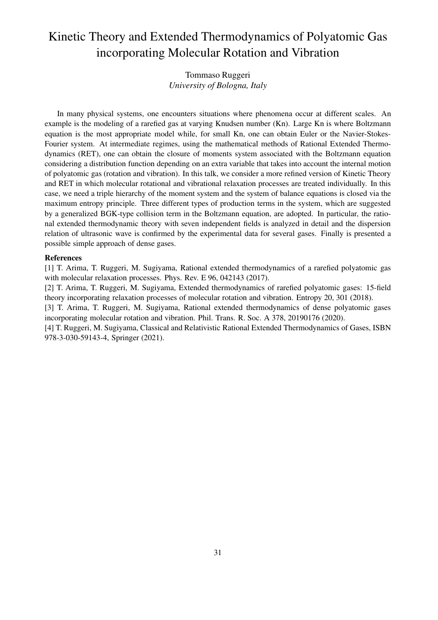# Kinetic Theory and Extended Thermodynamics of Polyatomic Gas incorporating Molecular Rotation and Vibration

### Tommaso Ruggeri *University of Bologna, Italy*

In many physical systems, one encounters situations where phenomena occur at different scales. An example is the modeling of a rarefied gas at varying Knudsen number (Kn). Large Kn is where Boltzmann equation is the most appropriate model while, for small Kn, one can obtain Euler or the Navier-Stokes-Fourier system. At intermediate regimes, using the mathematical methods of Rational Extended Thermodynamics (RET), one can obtain the closure of moments system associated with the Boltzmann equation considering a distribution function depending on an extra variable that takes into account the internal motion of polyatomic gas (rotation and vibration). In this talk, we consider a more refined version of Kinetic Theory and RET in which molecular rotational and vibrational relaxation processes are treated individually. In this case, we need a triple hierarchy of the moment system and the system of balance equations is closed via the maximum entropy principle. Three different types of production terms in the system, which are suggested by a generalized BGK-type collision term in the Boltzmann equation, are adopted. In particular, the rational extended thermodynamic theory with seven independent fields is analyzed in detail and the dispersion relation of ultrasonic wave is confirmed by the experimental data for several gases. Finally is presented a possible simple approach of dense gases.

#### References

[1] T. Arima, T. Ruggeri, M. Sugiyama, Rational extended thermodynamics of a rarefied polyatomic gas with molecular relaxation processes. Phys. Rev. E 96, 042143 (2017).

[2] T. Arima, T. Ruggeri, M. Sugiyama, Extended thermodynamics of rarefied polyatomic gases: 15-field theory incorporating relaxation processes of molecular rotation and vibration. Entropy 20, 301 (2018).

[3] T. Arima, T. Ruggeri, M. Sugiyama, Rational extended thermodynamics of dense polyatomic gases incorporating molecular rotation and vibration. Phil. Trans. R. Soc. A 378, 20190176 (2020).

[4] T. Ruggeri, M. Sugiyama, Classical and Relativistic Rational Extended Thermodynamics of Gases, ISBN 978-3-030-59143-4, Springer (2021).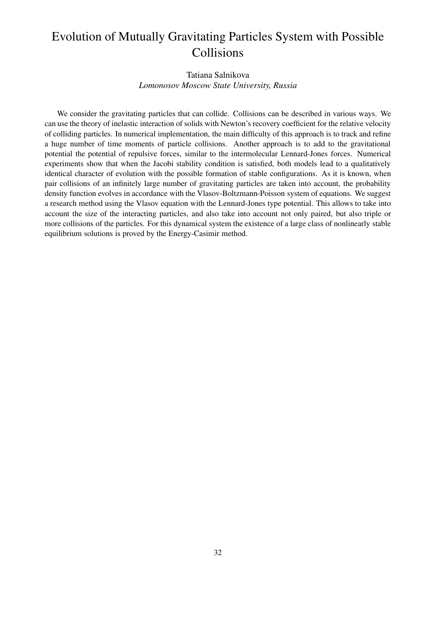# Evolution of Mutually Gravitating Particles System with Possible Collisions

## Tatiana Salnikova *Lomonosov Moscow State University, Russia*

We consider the gravitating particles that can collide. Collisions can be described in various ways. We can use the theory of inelastic interaction of solids with Newton's recovery coefficient for the relative velocity of colliding particles. In numerical implementation, the main difficulty of this approach is to track and refine a huge number of time moments of particle collisions. Another approach is to add to the gravitational potential the potential of repulsive forces, similar to the intermolecular Lennard-Jones forces. Numerical experiments show that when the Jacobi stability condition is satisfied, both models lead to a qualitatively identical character of evolution with the possible formation of stable configurations. As it is known, when pair collisions of an infinitely large number of gravitating particles are taken into account, the probability density function evolves in accordance with the Vlasov-Boltzmann-Poisson system of equations. We suggest a research method using the Vlasov equation with the Lennard-Jones type potential. This allows to take into account the size of the interacting particles, and also take into account not only paired, but also triple or more collisions of the particles. For this dynamical system the existence of a large class of nonlinearly stable equilibrium solutions is proved by the Energy-Casimir method.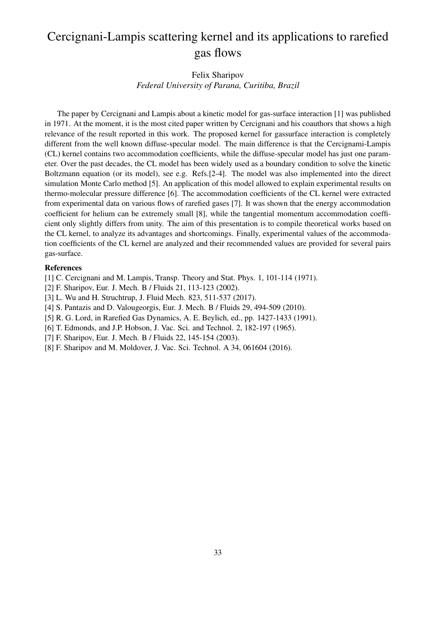# Cercignani-Lampis scattering kernel and its applications to rarefied gas flows

## Felix Sharipov *Federal University of Parana, Curitiba, Brazil*

The paper by Cercignani and Lampis about a kinetic model for gas-surface interaction [1] was published in 1971. At the moment, it is the most cited paper written by Cercignani and his coauthors that shows a high relevance of the result reported in this work. The proposed kernel for gassurface interaction is completely different from the well known diffuse-specular model. The main difference is that the Cercignami-Lampis (CL) kernel contains two accommodation coefficients, while the diffuse-specular model has just one parameter. Over the past decades, the CL model has been widely used as a boundary condition to solve the kinetic Boltzmann equation (or its model), see e.g. Refs.[2-4]. The model was also implemented into the direct simulation Monte Carlo method [5]. An application of this model allowed to explain experimental results on thermo-molecular pressure difference [6]. The accommodation coefficients of the CL kernel were extracted from experimental data on various flows of rarefied gases [7]. It was shown that the energy accommodation coefficient for helium can be extremely small [8], while the tangential momentum accommodation coefficient only slightly differs from unity. The aim of this presentation is to compile theoretical works based on the CL kernel, to analyze its advantages and shortcomings. Finally, experimental values of the accommodation coefficients of the CL kernel are analyzed and their recommended values are provided for several pairs gas-surface.

#### References

[1] C. Cercignani and M. Lampis, Transp. Theory and Stat. Phys. 1, 101-114 (1971).

- [2] F. Sharipov, Eur. J. Mech. B / Fluids 21, 113-123 (2002).
- [3] L. Wu and H. Struchtrup, J. Fluid Mech. 823, 511-537 (2017).
- [4] S. Pantazis and D. Valougeorgis, Eur. J. Mech. B / Fluids 29, 494-509 (2010).
- [5] R. G. Lord, in Rarefied Gas Dynamics, A. E. Beylich, ed., pp. 1427-1433 (1991).
- [6] T. Edmonds, and J.P. Hobson, J. Vac. Sci. and Technol. 2, 182-197 (1965).
- [7] F. Sharipov, Eur. J. Mech. B / Fluids 22, 145-154 (2003).
- [8] F. Sharipov and M. Moldover, J. Vac. Sci. Technol. A 34, 061604 (2016).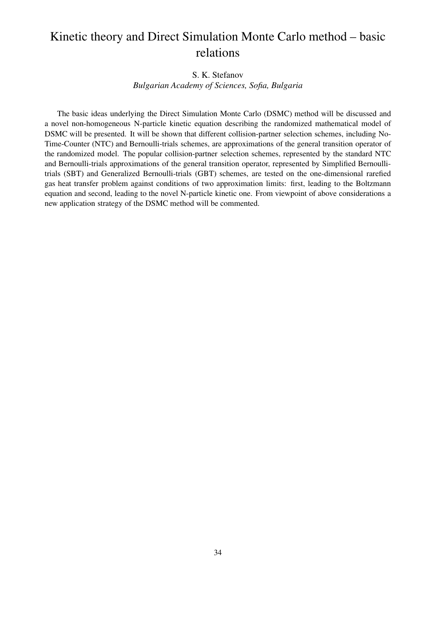# Kinetic theory and Direct Simulation Monte Carlo method – basic relations

### S. K. Stefanov

*Bulgarian Academy of Sciences, Sofia, Bulgaria*

The basic ideas underlying the Direct Simulation Monte Carlo (DSMC) method will be discussed and a novel non-homogeneous N-particle kinetic equation describing the randomized mathematical model of DSMC will be presented. It will be shown that different collision-partner selection schemes, including No-Time-Counter (NTC) and Bernoulli-trials schemes, are approximations of the general transition operator of the randomized model. The popular collision-partner selection schemes, represented by the standard NTC and Bernoulli-trials approximations of the general transition operator, represented by Simplified Bernoullitrials (SBT) and Generalized Bernoulli-trials (GBT) schemes, are tested on the one-dimensional rarefied gas heat transfer problem against conditions of two approximation limits: first, leading to the Boltzmann equation and second, leading to the novel N-particle kinetic one. From viewpoint of above considerations a new application strategy of the DSMC method will be commented.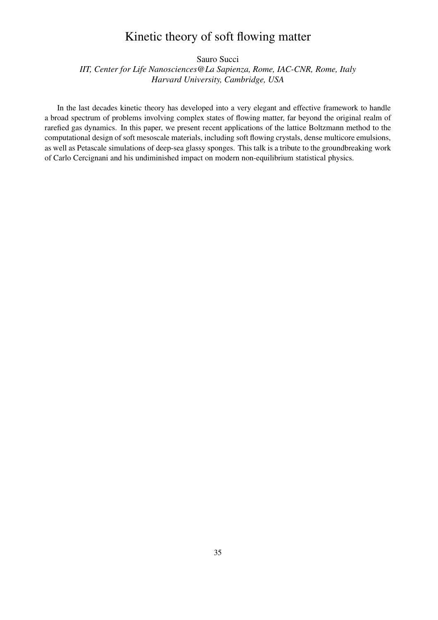## Kinetic theory of soft flowing matter

Sauro Succi

*IIT, Center for Life Nanosciences@La Sapienza, Rome, IAC-CNR, Rome, Italy Harvard University, Cambridge, USA*

In the last decades kinetic theory has developed into a very elegant and effective framework to handle a broad spectrum of problems involving complex states of flowing matter, far beyond the original realm of rarefied gas dynamics. In this paper, we present recent applications of the lattice Boltzmann method to the computational design of soft mesoscale materials, including soft flowing crystals, dense multicore emulsions, as well as Petascale simulations of deep-sea glassy sponges. This talk is a tribute to the groundbreaking work of Carlo Cercignani and his undiminished impact on modern non-equilibrium statistical physics.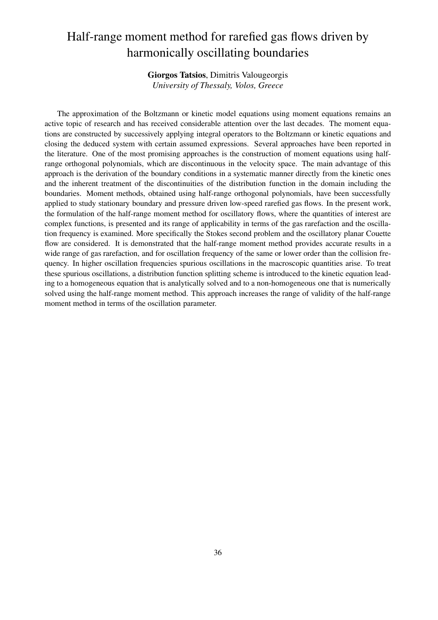# Half-range moment method for rarefied gas flows driven by harmonically oscillating boundaries

Giorgos Tatsios, Dimitris Valougeorgis *University of Thessaly, Volos, Greece*

The approximation of the Boltzmann or kinetic model equations using moment equations remains an active topic of research and has received considerable attention over the last decades. The moment equations are constructed by successively applying integral operators to the Boltzmann or kinetic equations and closing the deduced system with certain assumed expressions. Several approaches have been reported in the literature. One of the most promising approaches is the construction of moment equations using halfrange orthogonal polynomials, which are discontinuous in the velocity space. The main advantage of this approach is the derivation of the boundary conditions in a systematic manner directly from the kinetic ones and the inherent treatment of the discontinuities of the distribution function in the domain including the boundaries. Moment methods, obtained using half-range orthogonal polynomials, have been successfully applied to study stationary boundary and pressure driven low-speed rarefied gas flows. In the present work, the formulation of the half-range moment method for oscillatory flows, where the quantities of interest are complex functions, is presented and its range of applicability in terms of the gas rarefaction and the oscillation frequency is examined. More specifically the Stokes second problem and the oscillatory planar Couette flow are considered. It is demonstrated that the half-range moment method provides accurate results in a wide range of gas rarefaction, and for oscillation frequency of the same or lower order than the collision frequency. In higher oscillation frequencies spurious oscillations in the macroscopic quantities arise. To treat these spurious oscillations, a distribution function splitting scheme is introduced to the kinetic equation leading to a homogeneous equation that is analytically solved and to a non-homogeneous one that is numerically solved using the half-range moment method. This approach increases the range of validity of the half-range moment method in terms of the oscillation parameter.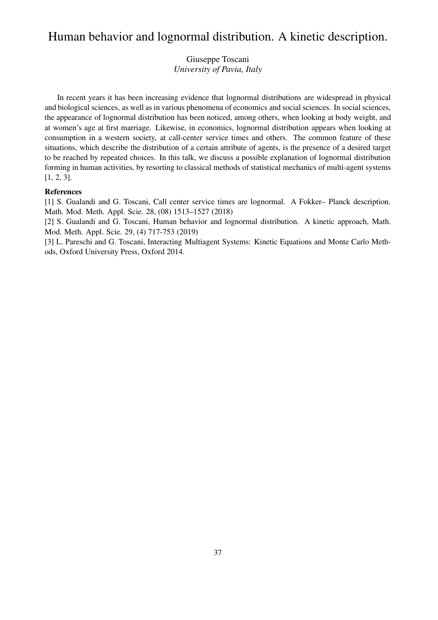## Human behavior and lognormal distribution. A kinetic description.

Giuseppe Toscani *University of Pavia, Italy*

In recent years it has been increasing evidence that lognormal distributions are widespread in physical and biological sciences, as well as in various phenomena of economics and social sciences. In social sciences, the appearance of lognormal distribution has been noticed, among others, when looking at body weight, and at women's age at first marriage. Likewise, in economics, lognormal distribution appears when looking at consumption in a western society, at call-center service times and others. The common feature of these situations, which describe the distribution of a certain attribute of agents, is the presence of a desired target to be reached by repeated choices. In this talk, we discuss a possible explanation of lognormal distribution forming in human activities, by resorting to classical methods of statistical mechanics of multi-agent systems [1, 2, 3].

#### References

[1] S. Gualandi and G. Toscani, Call center service times are lognormal. A Fokker– Planck description. Math. Mod. Meth. Appl. Scie. 28, (08) 1513–1527 (2018)

[2] S. Gualandi and G. Toscani, Human behavior and lognormal distribution. A kinetic approach, Math. Mod. Meth. Appl. Scie. 29, (4) 717-753 (2019)

[3] L. Pareschi and G. Toscani, Interacting Multiagent Systems: Kinetic Equations and Monte Carlo Methods, Oxford University Press, Oxford 2014.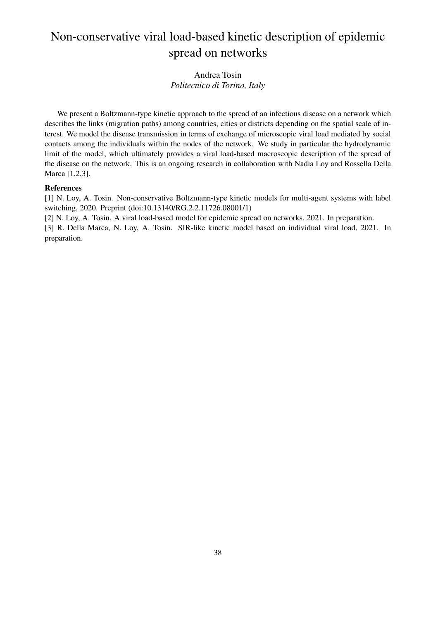# Non-conservative viral load-based kinetic description of epidemic spread on networks

## Andrea Tosin *Politecnico di Torino, Italy*

We present a Boltzmann-type kinetic approach to the spread of an infectious disease on a network which describes the links (migration paths) among countries, cities or districts depending on the spatial scale of interest. We model the disease transmission in terms of exchange of microscopic viral load mediated by social contacts among the individuals within the nodes of the network. We study in particular the hydrodynamic limit of the model, which ultimately provides a viral load-based macroscopic description of the spread of the disease on the network. This is an ongoing research in collaboration with Nadia Loy and Rossella Della Marca [1,2,3].

#### References

[1] N. Loy, A. Tosin. Non-conservative Boltzmann-type kinetic models for multi-agent systems with label switching, 2020. Preprint (doi:10.13140/RG.2.2.11726.08001/1)

[2] N. Loy, A. Tosin. A viral load-based model for epidemic spread on networks, 2021. In preparation. [3] R. Della Marca, N. Loy, A. Tosin. SIR-like kinetic model based on individual viral load, 2021. In preparation.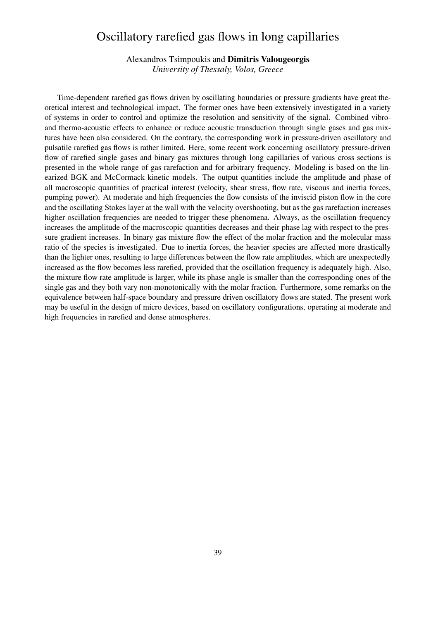## Oscillatory rarefied gas flows in long capillaries

Alexandros Tsimpoukis and Dimitris Valougeorgis *University of Thessaly, Volos, Greece*

Time-dependent rarefied gas flows driven by oscillating boundaries or pressure gradients have great theoretical interest and technological impact. The former ones have been extensively investigated in a variety of systems in order to control and optimize the resolution and sensitivity of the signal. Combined vibroand thermo-acoustic effects to enhance or reduce acoustic transduction through single gases and gas mixtures have been also considered. On the contrary, the corresponding work in pressure-driven oscillatory and pulsatile rarefied gas flows is rather limited. Here, some recent work concerning oscillatory pressure-driven flow of rarefied single gases and binary gas mixtures through long capillaries of various cross sections is presented in the whole range of gas rarefaction and for arbitrary frequency. Modeling is based on the linearized BGK and McCormack kinetic models. The output quantities include the amplitude and phase of all macroscopic quantities of practical interest (velocity, shear stress, flow rate, viscous and inertia forces, pumping power). At moderate and high frequencies the flow consists of the inviscid piston flow in the core and the oscillating Stokes layer at the wall with the velocity overshooting, but as the gas rarefaction increases higher oscillation frequencies are needed to trigger these phenomena. Always, as the oscillation frequency increases the amplitude of the macroscopic quantities decreases and their phase lag with respect to the pressure gradient increases. In binary gas mixture flow the effect of the molar fraction and the molecular mass ratio of the species is investigated. Due to inertia forces, the heavier species are affected more drastically than the lighter ones, resulting to large differences between the flow rate amplitudes, which are unexpectedly increased as the flow becomes less rarefied, provided that the oscillation frequency is adequately high. Also, the mixture flow rate amplitude is larger, while its phase angle is smaller than the corresponding ones of the single gas and they both vary non-monotonically with the molar fraction. Furthermore, some remarks on the equivalence between half-space boundary and pressure driven oscillatory flows are stated. The present work may be useful in the design of micro devices, based on oscillatory configurations, operating at moderate and high frequencies in rarefied and dense atmospheres.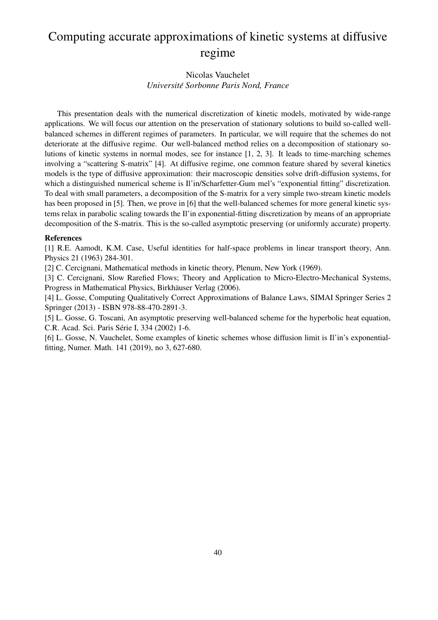# Computing accurate approximations of kinetic systems at diffusive regime

## Nicolas Vauchelet *Universite Sorbonne Paris Nord, France ´*

This presentation deals with the numerical discretization of kinetic models, motivated by wide-range applications. We will focus our attention on the preservation of stationary solutions to build so-called wellbalanced schemes in different regimes of parameters. In particular, we will require that the schemes do not deteriorate at the diffusive regime. Our well-balanced method relies on a decomposition of stationary solutions of kinetic systems in normal modes, see for instance [1, 2, 3]. It leads to time-marching schemes involving a "scattering S-matrix" [4]. At diffusive regime, one common feature shared by several kinetics models is the type of diffusive approximation: their macroscopic densities solve drift-diffusion systems, for which a distinguished numerical scheme is Il'in/Scharfetter-Gum mel's "exponential fitting" discretization. To deal with small parameters, a decomposition of the S-matrix for a very simple two-stream kinetic models has been proposed in [5]. Then, we prove in [6] that the well-balanced schemes for more general kinetic systems relax in parabolic scaling towards the Il'in exponential-fitting discretization by means of an appropriate decomposition of the S-matrix. This is the so-called asymptotic preserving (or uniformly accurate) property.

#### References

[1] R.E. Aamodt, K.M. Case, Useful identities for half-space problems in linear transport theory, Ann. Physics 21 (1963) 284-301.

[2] C. Cercignani, Mathematical methods in kinetic theory, Plenum, New York (1969).

[3] C. Cercignani, Slow Rarefied Flows; Theory and Application to Micro-Electro-Mechanical Systems, Progress in Mathematical Physics, Birkhäuser Verlag (2006).

[4] L. Gosse, Computing Qualitatively Correct Approximations of Balance Laws, SIMAI Springer Series 2 Springer (2013) - ISBN 978-88-470-2891-3.

[5] L. Gosse, G. Toscani, An asymptotic preserving well-balanced scheme for the hyperbolic heat equation, C.R. Acad. Sci. Paris Série I, 334 (2002) 1-6.

[6] L. Gosse, N. Vauchelet, Some examples of kinetic schemes whose diffusion limit is Il'in's exponentialfitting, Numer. Math. 141 (2019), no 3, 627-680.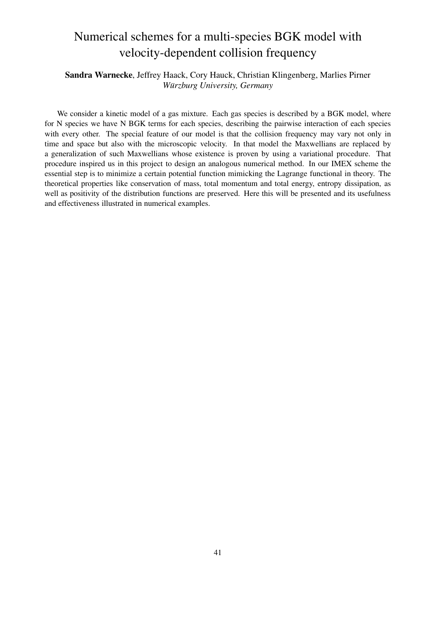# Numerical schemes for a multi-species BGK model with velocity-dependent collision frequency

## Sandra Warnecke, Jeffrey Haack, Cory Hauck, Christian Klingenberg, Marlies Pirner *Wurzburg University, Germany ¨*

We consider a kinetic model of a gas mixture. Each gas species is described by a BGK model, where for N species we have N BGK terms for each species, describing the pairwise interaction of each species with every other. The special feature of our model is that the collision frequency may vary not only in time and space but also with the microscopic velocity. In that model the Maxwellians are replaced by a generalization of such Maxwellians whose existence is proven by using a variational procedure. That procedure inspired us in this project to design an analogous numerical method. In our IMEX scheme the essential step is to minimize a certain potential function mimicking the Lagrange functional in theory. The theoretical properties like conservation of mass, total momentum and total energy, entropy dissipation, as well as positivity of the distribution functions are preserved. Here this will be presented and its usefulness and effectiveness illustrated in numerical examples.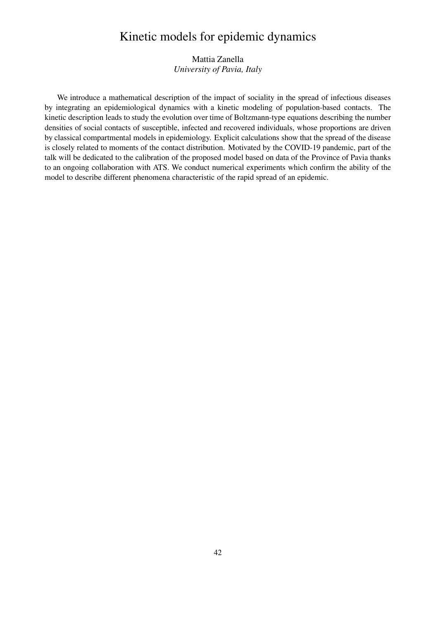## Kinetic models for epidemic dynamics

Mattia Zanella *University of Pavia, Italy*

We introduce a mathematical description of the impact of sociality in the spread of infectious diseases by integrating an epidemiological dynamics with a kinetic modeling of population-based contacts. The kinetic description leads to study the evolution over time of Boltzmann-type equations describing the number densities of social contacts of susceptible, infected and recovered individuals, whose proportions are driven by classical compartmental models in epidemiology. Explicit calculations show that the spread of the disease is closely related to moments of the contact distribution. Motivated by the COVID-19 pandemic, part of the talk will be dedicated to the calibration of the proposed model based on data of the Province of Pavia thanks to an ongoing collaboration with ATS. We conduct numerical experiments which confirm the ability of the model to describe different phenomena characteristic of the rapid spread of an epidemic.